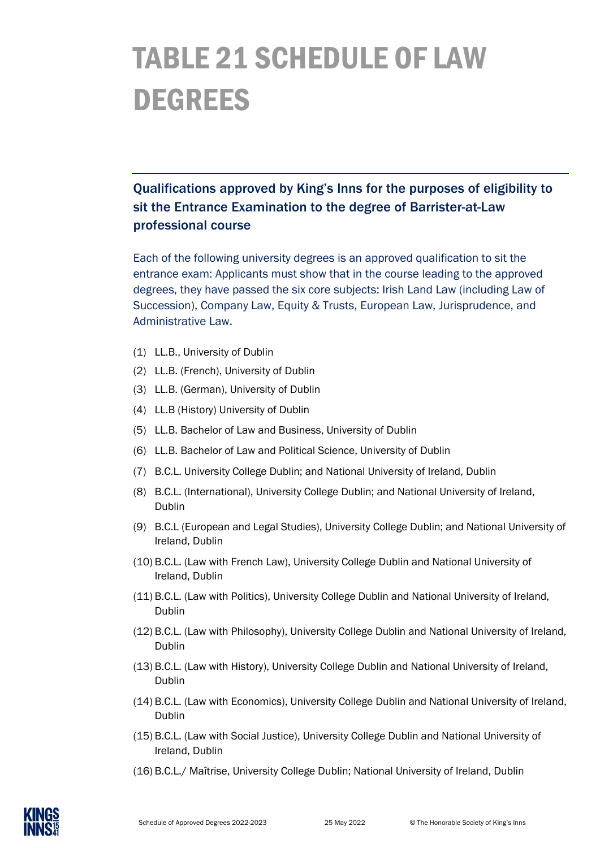## TABLE 21 SCHEDULE OF LAW DEGREES

## Qualifications approved by King's Inns for the purposes of eligibility to sit the Entrance Examination to the degree of Barrister-at-Law professional course

Each of the following university degrees is an approved qualification to sit the entrance exam: Applicants must show that in the course leading to the approved degrees, they have passed the six core subjects: Irish Land Law (including Law of Succession), Company Law, Equity & Trusts, European Law, Jurisprudence, and Administrative Law.

- (1) LL.B., University of Dublin
- (2) LL.B. (French), University of Dublin
- (3) LL.B. (German), University of Dublin
- (4) LL.B (History) University of Dublin
- (5) LL.B. Bachelor of Law and Business, University of Dublin
- (6) LL.B. Bachelor of Law and Political Science, University of Dublin
- (7) B.C.L. University College Dublin; and National University of Ireland, Dublin
- (8) B.C.L. (International), University College Dublin; and National University of Ireland, Dublin
- (9) B.C.L (European and Legal Studies), University College Dublin; and National University of Ireland, Dublin
- (10) B.C.L. (Law with French Law), University College Dublin and National University of Ireland, Dublin
- (11) B.C.L. (Law with Politics), University College Dublin and National University of Ireland, Dublin
- (12) B.C.L. (Law with Philosophy), University College Dublin and National University of Ireland, Dublin
- (13) B.C.L. (Law with History), University College Dublin and National University of Ireland, Dublin
- (14) B.C.L. (Law with Economics), University College Dublin and National University of Ireland, Dublin
- (15) B.C.L. (Law with Social Justice), University College Dublin and National University of Ireland, Dublin
- (16) B.C.L./ Maîtrise, University College Dublin; National University of Ireland, Dublin

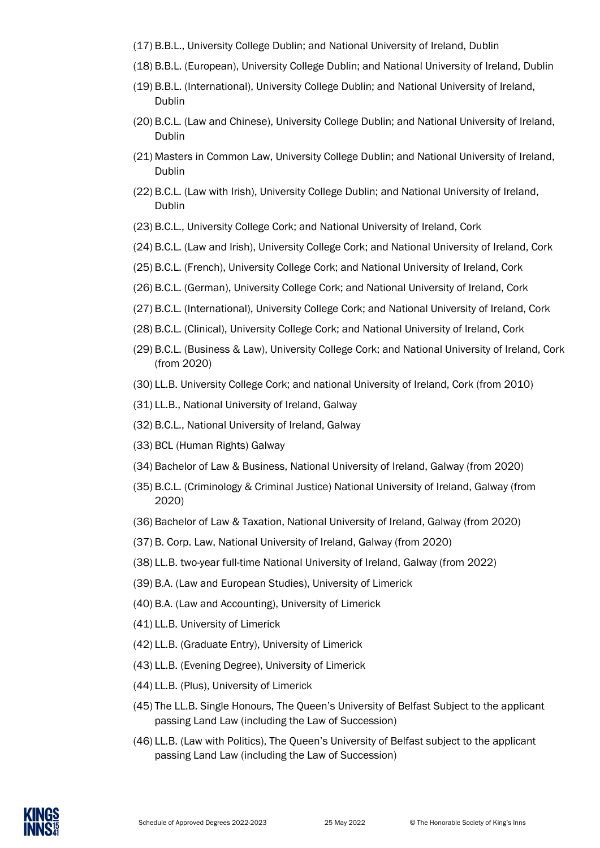- (17) B.B.L., University College Dublin; and National University of Ireland, Dublin
- (18) B.B.L. (European), University College Dublin; and National University of Ireland, Dublin
- (19) B.B.L. (International), University College Dublin; and National University of Ireland, Dublin
- (20) B.C.L. (Law and Chinese), University College Dublin; and National University of Ireland, Dublin
- (21) Masters in Common Law, University College Dublin; and National University of Ireland, Dublin
- (22) B.C.L. (Law with Irish), University College Dublin; and National University of Ireland, Dublin
- (23) B.C.L., University College Cork; and National University of Ireland, Cork
- (24) B.C.L. (Law and Irish), University College Cork; and National University of Ireland, Cork
- (25) B.C.L. (French), University College Cork; and National University of Ireland, Cork
- (26) B.C.L. (German), University College Cork; and National University of Ireland, Cork
- (27) B.C.L. (International), University College Cork; and National University of Ireland, Cork
- (28) B.C.L. (Clinical), University College Cork; and National University of Ireland, Cork
- (29) B.C.L. (Business & Law), University College Cork; and National University of Ireland, Cork (from 2020)
- (30) LL.B. University College Cork; and national University of Ireland, Cork (from 2010)
- (31) LL.B., National University of Ireland, Galway
- (32) B.C.L., National University of Ireland, Galway
- (33) BCL (Human Rights) Galway
- (34) Bachelor of Law & Business, National University of Ireland, Galway (from 2020)
- (35) B.C.L. (Criminology & Criminal Justice) National University of Ireland, Galway (from 2020)
- (36) Bachelor of Law & Taxation, National University of Ireland, Galway (from 2020)
- (37) B. Corp. Law, National University of Ireland, Galway (from 2020)
- (38) LL.B. two-year full-time National University of Ireland, Galway (from 2022)
- (39) B.A. (Law and European Studies), University of Limerick
- (40) B.A. (Law and Accounting), University of Limerick
- (41) LL.B. University of Limerick
- (42) LL.B. (Graduate Entry), University of Limerick
- (43) LL.B. (Evening Degree), University of Limerick
- (44) LL.B. (Plus), University of Limerick
- (45) The LL.B. Single Honours, The Queen's University of Belfast Subject to the applicant passing Land Law (including the Law of Succession)
- (46) LL.B. (Law with Politics), The Queen's University of Belfast subject to the applicant passing Land Law (including the Law of Succession)

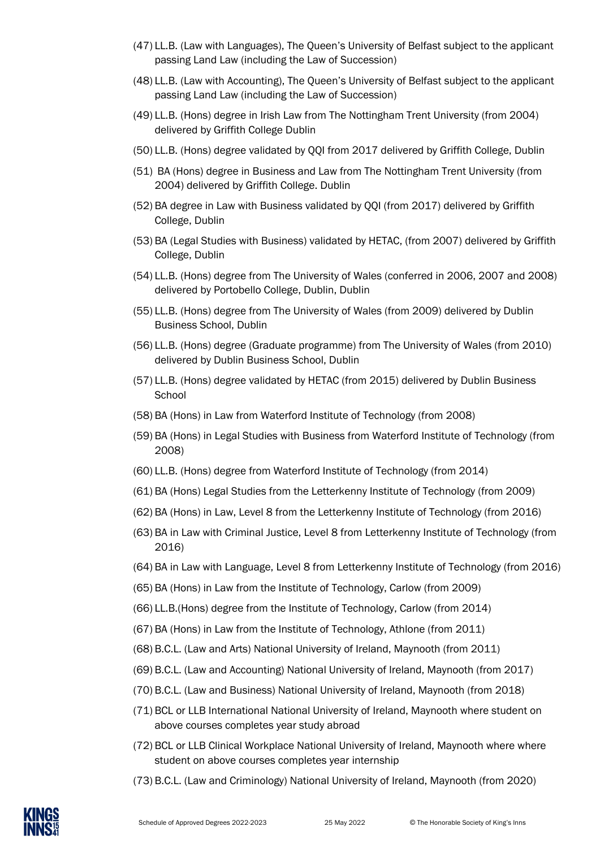- (47) LL.B. (Law with Languages), The Queen's University of Belfast subject to the applicant passing Land Law (including the Law of Succession)
- (48) LL.B. (Law with Accounting), The Queen's University of Belfast subject to the applicant passing Land Law (including the Law of Succession)
- (49) LL.B. (Hons) degree in Irish Law from The Nottingham Trent University (from 2004) delivered by Griffith College Dublin
- (50) LL.B. (Hons) degree validated by QQI from 2017 delivered by Griffith College, Dublin
- (51) BA (Hons) degree in Business and Law from The Nottingham Trent University (from 2004) delivered by Griffith College. Dublin
- (52) BA degree in Law with Business validated by QQI (from 2017) delivered by Griffith College, Dublin
- (53) BA (Legal Studies with Business) validated by HETAC, (from 2007) delivered by Griffith College, Dublin
- (54) LL.B. (Hons) degree from The University of Wales (conferred in 2006, 2007 and 2008) delivered by Portobello College, Dublin, Dublin
- (55) LL.B. (Hons) degree from The University of Wales (from 2009) delivered by Dublin Business School, Dublin
- (56) LL.B. (Hons) degree (Graduate programme) from The University of Wales (from 2010) delivered by Dublin Business School, Dublin
- (57) LL.B. (Hons) degree validated by HETAC (from 2015) delivered by Dublin Business **School**
- (58) BA (Hons) in Law from Waterford Institute of Technology (from 2008)
- (59) BA (Hons) in Legal Studies with Business from Waterford Institute of Technology (from 2008)
- (60) LL.B. (Hons) degree from Waterford Institute of Technology (from 2014)
- (61) BA (Hons) Legal Studies from the Letterkenny Institute of Technology (from 2009)
- (62) BA (Hons) in Law, Level 8 from the Letterkenny Institute of Technology (from 2016)
- (63) BA in Law with Criminal Justice, Level 8 from Letterkenny Institute of Technology (from 2016)
- (64) BA in Law with Language, Level 8 from Letterkenny Institute of Technology (from 2016)
- (65) BA (Hons) in Law from the Institute of Technology, Carlow (from 2009)
- (66) LL.B.(Hons) degree from the Institute of Technology, Carlow (from 2014)
- (67) BA (Hons) in Law from the Institute of Technology, Athlone (from 2011)
- (68) B.C.L. (Law and Arts) National University of Ireland, Maynooth (from 2011)
- (69) B.C.L. (Law and Accounting) National University of Ireland, Maynooth (from 2017)
- (70) B.C.L. (Law and Business) National University of Ireland, Maynooth (from 2018)
- (71) BCL or LLB International National University of Ireland, Maynooth where student on above courses completes year study abroad
- (72) BCL or LLB Clinical Workplace National University of Ireland, Maynooth where where student on above courses completes year internship
- (73) B.C.L. (Law and Criminology) National University of Ireland, Maynooth (from 2020)